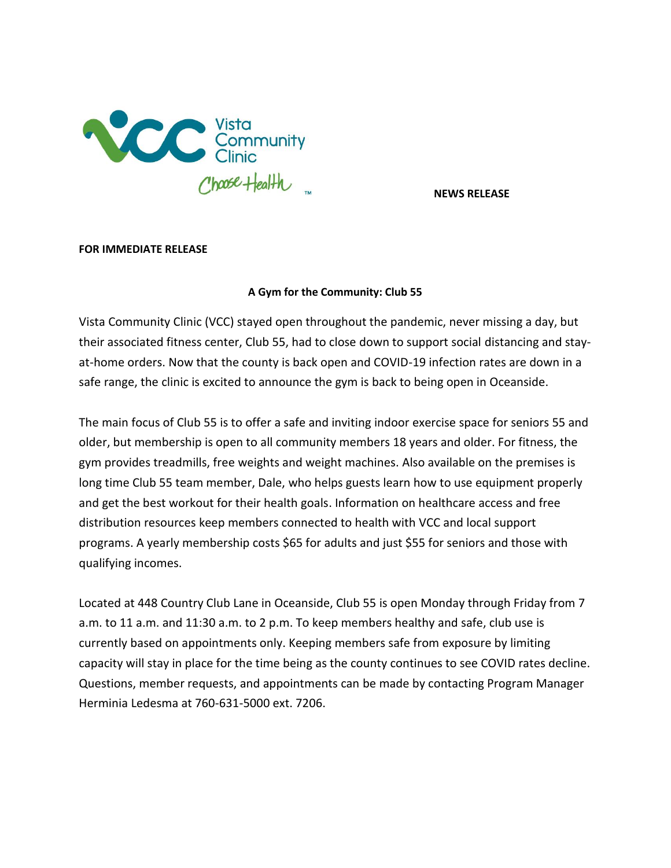

**NEWS RELEASE**

## **FOR IMMEDIATE RELEASE**

## **A Gym for the Community: Club 55**

Vista Community Clinic (VCC) stayed open throughout the pandemic, never missing a day, but their associated fitness center, Club 55, had to close down to support social distancing and stayat-home orders. Now that the county is back open and COVID-19 infection rates are down in a safe range, the clinic is excited to announce the gym is back to being open in Oceanside.

The main focus of Club 55 is to offer a safe and inviting indoor exercise space for seniors 55 and older, but membership is open to all community members 18 years and older. For fitness, the gym provides treadmills, free weights and weight machines. Also available on the premises is long time Club 55 team member, Dale, who helps guests learn how to use equipment properly and get the best workout for their health goals. Information on healthcare access and free distribution resources keep members connected to health with VCC and local support programs. A yearly membership costs \$65 for adults and just \$55 for seniors and those with qualifying incomes.

Located at 448 Country Club Lane in Oceanside, Club 55 is open Monday through Friday from 7 a.m. to 11 a.m. and 11:30 a.m. to 2 p.m. To keep members healthy and safe, club use is currently based on appointments only. Keeping members safe from exposure by limiting capacity will stay in place for the time being as the county continues to see COVID rates decline. Questions, member requests, and appointments can be made by contacting Program Manager Herminia Ledesma at 760-631-5000 ext. 7206.